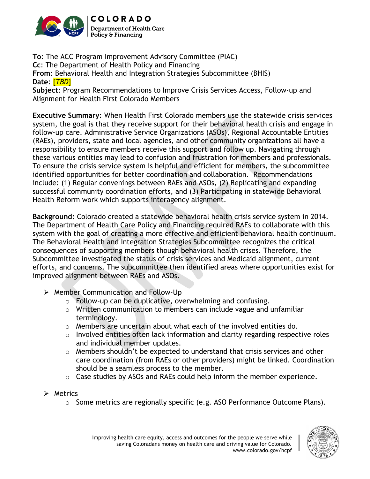

**To**: The ACC Program Improvement Advisory Committee (PIAC) **Cc**: The Department of Health Policy and Financing **From**: Behavioral Health and Integration Strategies Subcommittee (BHIS) **Date**: [*TBD*] **Subject**: Program Recommendations to Improve Crisis Services Access, Follow-up and

Alignment for Health First Colorado Members

**Executive Summary:** When Health First Colorado members use the statewide crisis services system, the goal is that they receive support for their behavioral health crisis and engage in follow-up care. Administrative Service Organizations (ASOs), Regional Accountable Entities (RAEs), providers, state and local agencies, and other community organizations all have a responsibility to ensure members receive this support and follow up. Navigating through these various entities may lead to confusion and frustration for members and professionals. To ensure the crisis service system is helpful and efficient for members, the subcommittee identified opportunities for better coordination and collaboration. Recommendations include: (1) Regular convenings between RAEs and ASOs, (2) Replicating and expanding successful community coordination efforts, and (3) Participating in statewide Behavioral Health Reform work which supports interagency alignment.

**Background:** Colorado created a statewide behavioral health crisis service system in 2014. The Department of Health Care Policy and Financing required RAEs to collaborate with this system with the goal of creating a more effective and efficient behavioral health continuum. The Behavioral Health and Integration Strategies Subcommittee recognizes the critical consequences of supporting members though behavioral health crises. Therefore, the Subcommittee investigated the status of crisis services and Medicaid alignment, current efforts, and concerns. The subcommittee then identified areas where opportunities exist for improved alignment between RAEs and ASOs.

- $\triangleright$  Member Communication and Follow-Up
	- o Follow-up can be duplicative, overwhelming and confusing.
	- o Written communication to members can include vague and unfamiliar terminology.
	- o Members are uncertain about what each of the involved entities do.
	- $\circ$  Involved entities often lack information and clarity regarding respective roles and individual member updates.
	- $\circ$  Members shouldn't be expected to understand that crisis services and other care coordination (from RAEs or other providers) might be linked. Coordination should be a seamless process to the member.
	- o Case studies by ASOs and RAEs could help inform the member experience.
- $\triangleright$  Metrics
	- o Some metrics are regionally specific (e.g. ASO Performance Outcome Plans).

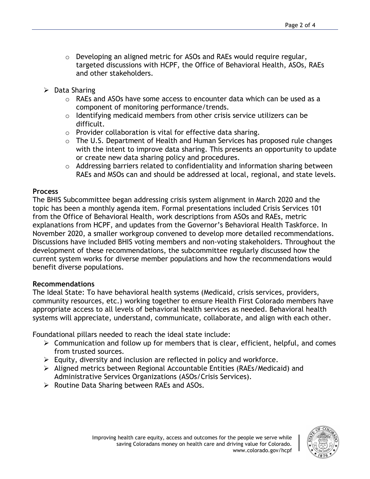- o Developing an aligned metric for ASOs and RAEs would require regular, targeted discussions with HCPF, the Office of Behavioral Health, ASOs, RAEs and other stakeholders.
- $\triangleright$  Data Sharing
	- o RAEs and ASOs have some access to encounter data which can be used as a component of monitoring performance/trends.
	- o Identifying medicaid members from other crisis service utilizers can be difficult.
	- o Provider collaboration is vital for effective data sharing.
	- o The U.S. Department of Health and Human Services has proposed rule changes with the intent to improve data sharing. This presents an opportunity to update or create new data sharing policy and procedures.
	- o Addressing barriers related to confidentiality and information sharing between RAEs and MSOs can and should be addressed at local, regional, and state levels.

## **Process**

The BHIS Subcommittee began addressing crisis system alignment in March 2020 and the topic has been a monthly agenda item. Formal presentations included Crisis Services 101 from the Office of Behavioral Health, work descriptions from ASOs and RAEs, metric explanations from HCPF, and updates from the Governor's Behavioral Health Taskforce. In November 2020, a smaller workgroup convened to develop more detailed recommendations. Discussions have included BHIS voting members and non-voting stakeholders. Throughout the development of these recommendations, the subcommittee regularly discussed how the current system works for diverse member populations and how the recommendations would benefit diverse populations.

## **Recommendations**

The Ideal State: To have behavioral health systems (Medicaid, crisis services, providers, community resources, etc.) working together to ensure Health First Colorado members have appropriate access to all levels of behavioral health services as needed. Behavioral health systems will appreciate, understand, communicate, collaborate, and align with each other.

Foundational pillars needed to reach the ideal state include:

- $\triangleright$  Communication and follow up for members that is clear, efficient, helpful, and comes from trusted sources.
- $\triangleright$  Equity, diversity and inclusion are reflected in policy and workforce.
- Aligned metrics between Regional Accountable Entities (RAEs/Medicaid) and Administrative Services Organizations (ASOs/Crisis Services).
- $\triangleright$  Routine Data Sharing between RAEs and ASOs.

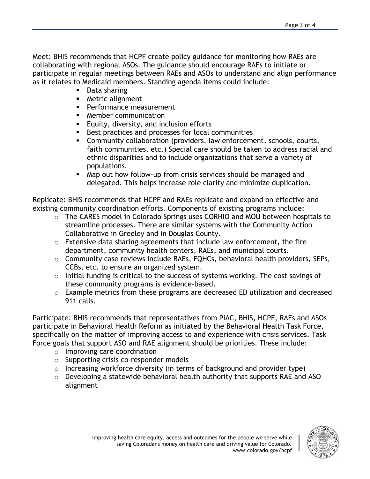Meet: BHIS recommends that HCPF create policy guidance for monitoring how RAEs are collaborating with regional ASOs. The guidance should encourage RAEs to initiate or participate in regular meetings between RAEs and ASOs to understand and align performance as it relates to Medicaid members. Standing agenda items could include:

- **Data sharing**
- **Metric alignment**
- **Performance measurement**
- **Member communication**
- **Equity, diversity, and inclusion efforts**
- **Best practices and processes for local communities**
- Community collaboration (providers, law enforcement, schools, courts, faith communities, etc.) Special care should be taken to address racial and ethnic disparities and to include organizations that serve a variety of populations.
- Map out how follow-up from crisis services should be managed and delegated. This helps increase role clarity and minimize duplication.

Replicate: BHIS recommends that HCPF and RAEs replicate and expand on effective and existing community coordination efforts. Components of existing programs include:

- o The CARES model in Colorado Springs uses CORHIO and MOU between hospitals to streamline processes. There are similar systems with the Community Action Collaborative in Greeley and in Douglas County.
- $\circ$  Extensive data sharing agreements that include law enforcement, the fire department, community health centers, RAEs, and municipal courts.
- o Community case reviews include RAEs, FQHCs, behavioral health providers, SEPs, CCBs, etc. to ensure an organized system.
- o Initial funding is critical to the success of systems working. The cost savings of these community programs is evidence-based.
- o Example metrics from these programs are decreased ED utilization and decreased 911 calls.

Participate: BHIS recommends that representatives from PIAC, BHIS, HCPF, RAEs and ASOs participate in Behavioral Health Reform as initiated by the Behavioral Health Task Force, specifically on the matter of improving access to and experience with crisis services. Task Force goals that support ASO and RAE alignment should be priorities. These include:

- o Improving care coordination
- o Supporting crisis co-responder models
- o Increasing workforce diversity (in terms of background and provider type)
- o Developing a statewide behavioral health authority that supports RAE and ASO alignment